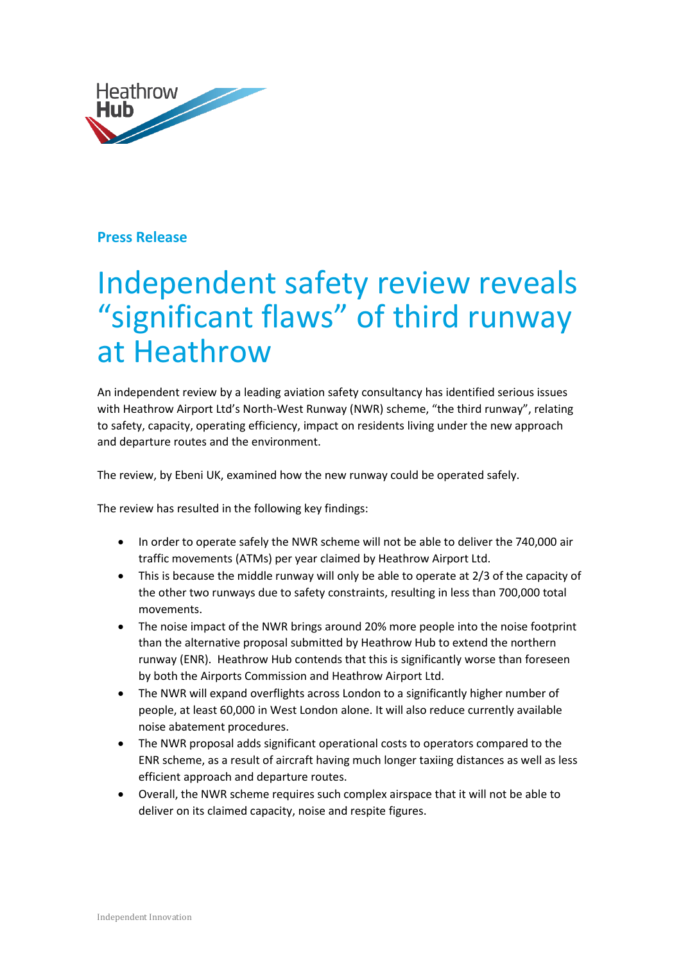

## **Press Release**

## Independent safety review reveals "significant flaws" of third runway at Heathrow

An independent review by a leading aviation safety consultancy has identified serious issues with Heathrow Airport Ltd's North-West Runway (NWR) scheme, "the third runway", relating to safety, capacity, operating efficiency, impact on residents living under the new approach and departure routes and the environment.

The review, by Ebeni UK, examined how the new runway could be operated safely.

The review has resulted in the following key findings:

- In order to operate safely the NWR scheme will not be able to deliver the 740,000 air traffic movements (ATMs) per year claimed by Heathrow Airport Ltd.
- This is because the middle runway will only be able to operate at 2/3 of the capacity of the other two runways due to safety constraints, resulting in less than 700,000 total movements.
- The noise impact of the NWR brings around 20% more people into the noise footprint than the alternative proposal submitted by Heathrow Hub to extend the northern runway (ENR). Heathrow Hub contends that this is significantly worse than foreseen by both the Airports Commission and Heathrow Airport Ltd.
- The NWR will expand overflights across London to a significantly higher number of people, at least 60,000 in West London alone. It will also reduce currently available noise abatement procedures.
- The NWR proposal adds significant operational costs to operators compared to the ENR scheme, as a result of aircraft having much longer taxiing distances as well as less efficient approach and departure routes.
- Overall, the NWR scheme requires such complex airspace that it will not be able to deliver on its claimed capacity, noise and respite figures.